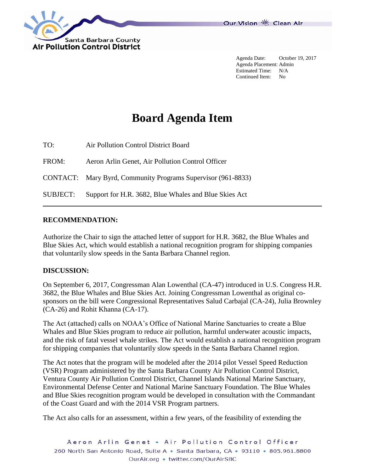

Agenda Date: October 19, 2017 Agenda Placement: Admin Estimated Time: N/A Continued Item: No

# **Board Agenda Item**

TO: Air Pollution Control District Board FROM: Aeron Arlin Genet, Air Pollution Control Officer CONTACT: Mary Byrd, Community Programs Supervisor (961-8833) SUBJECT: Support for H.R. 3682, Blue Whales and Blue Skies Act

#### **RECOMMENDATION:**

Authorize the Chair to sign the attached letter of support for H.R. 3682, the Blue Whales and Blue Skies Act, which would establish a national recognition program for shipping companies that voluntarily slow speeds in the Santa Barbara Channel region.

#### **DISCUSSION:**

On September 6, 2017, Congressman Alan Lowenthal (CA-47) introduced in U.S. Congress H.R. 3682, the Blue Whales and Blue Skies Act. Joining Congressman Lowenthal as original cosponsors on the bill were Congressional Representatives Salud Carbajal (CA-24), Julia Brownley (CA-26) and Rohit Khanna (CA-17).

The Act (attached) calls on NOAA's Office of National Marine Sanctuaries to create a Blue Whales and Blue Skies program to reduce air pollution, harmful underwater acoustic impacts, and the risk of fatal vessel whale strikes. The Act would establish a national recognition program for shipping companies that voluntarily slow speeds in the Santa Barbara Channel region.

The Act notes that the program will be modeled after the 2014 pilot Vessel Speed Reduction (VSR) Program administered by the Santa Barbara County Air Pollution Control District, Ventura County Air Pollution Control District, Channel Islands National Marine Sanctuary, Environmental Defense Center and National Marine Sanctuary Foundation. The Blue Whales and Blue Skies recognition program would be developed in consultation with the Commandant of the Coast Guard and with the 2014 VSR Program partners.

The Act also calls for an assessment, within a few years, of the feasibility of extending the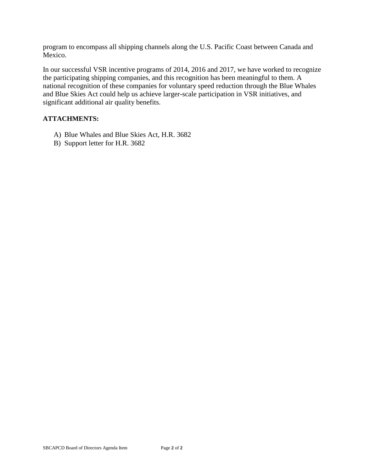program to encompass all shipping channels along the U.S. Pacific Coast between Canada and Mexico.

In our successful VSR incentive programs of 2014, 2016 and 2017, we have worked to recognize the participating shipping companies, and this recognition has been meaningful to them. A national recognition of these companies for voluntary speed reduction through the Blue Whales and Blue Skies Act could help us achieve larger-scale participation in VSR initiatives, and significant additional air quality benefits.

#### **ATTACHMENTS:**

- A) Blue Whales and Blue Skies Act, H.R. 3682
- B) Support letter for H.R. 3682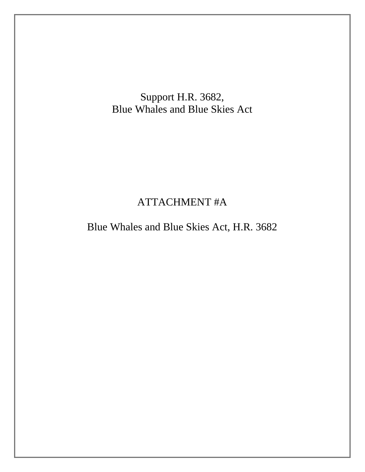Support H.R. 3682, Blue Whales and Blue Skies Act

## ATTACHMENT #A

Blue Whales and Blue Skies Act, H.R. 3682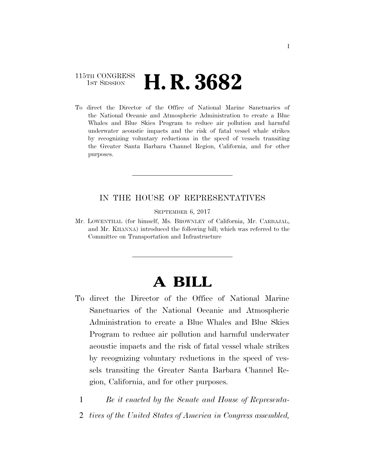### 115TH CONGRESS **1st Session H. R. 3682**

To direct the Director of the Office of National Marine Sanctuaries of the National Oceanic and Atmospheric Administration to create a Blue Whales and Blue Skies Program to reduce air pollution and harmful underwater acoustic impacts and the risk of fatal vessel whale strikes by recognizing voluntary reductions in the speed of vessels transiting the Greater Santa Barbara Channel Region, California, and for other purposes.

#### IN THE HOUSE OF REPRESENTATIVES

SEPTEMBER 6, 2017

Mr. LOWENTHAL (for himself, Ms. BROWNLEY of California, Mr. CARBAJAL, and Mr. KHANNA) introduced the following bill; which was referred to the Committee on Transportation and Infrastructure

# **A BILL**

- To direct the Director of the Office of National Marine Sanctuaries of the National Oceanic and Atmospheric Administration to create a Blue Whales and Blue Skies Program to reduce air pollution and harmful underwater acoustic impacts and the risk of fatal vessel whale strikes by recognizing voluntary reductions in the speed of vessels transiting the Greater Santa Barbara Channel Region, California, and for other purposes.
	- 1 *Be it enacted by the Senate and House of Representa-*
	- 2 *tives of the United States of America in Congress assembled,*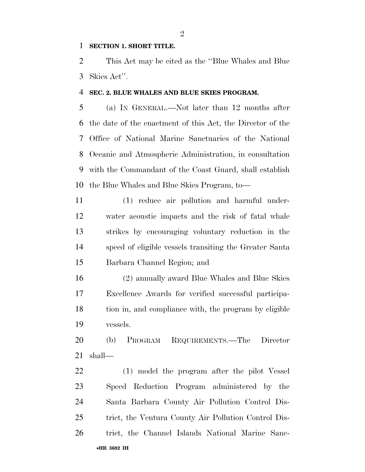#### **SECTION 1. SHORT TITLE.**

 This Act may be cited as the ''Blue Whales and Blue Skies Act''.

#### **SEC. 2. BLUE WHALES AND BLUE SKIES PROGRAM.**

 (a) IN GENERAL.—Not later than 12 months after the date of the enactment of this Act, the Director of the Office of National Marine Sanctuaries of the National Oceanic and Atmospheric Administration, in consultation with the Commandant of the Coast Guard, shall establish the Blue Whales and Blue Skies Program, to—

 (1) reduce air pollution and harmful under- water acoustic impacts and the risk of fatal whale strikes by encouraging voluntary reduction in the speed of eligible vessels transiting the Greater Santa Barbara Channel Region; and

 (2) annually award Blue Whales and Blue Skies Excellence Awards for verified successful participa- tion in, and compliance with, the program by eligible vessels.

 (b) PROGRAM REQUIREMENTS.—The Director shall—

•**HR 3682 IH** (1) model the program after the pilot Vessel Speed Reduction Program administered by the Santa Barbara County Air Pollution Control Dis- trict, the Ventura County Air Pollution Control Dis-trict, the Channel Islands National Marine Sanc-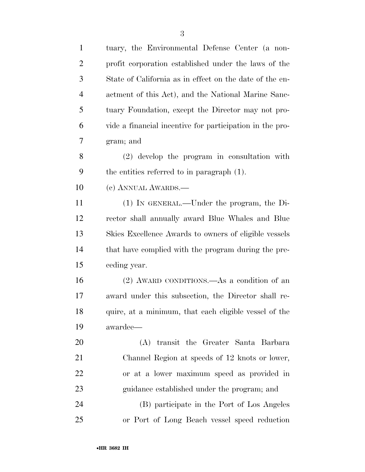| $\mathbf{1}$   | tuary, the Environmental Defense Center (a non-          |
|----------------|----------------------------------------------------------|
| $\overline{2}$ | profit corporation established under the laws of the     |
| 3              | State of California as in effect on the date of the en-  |
| $\overline{4}$ | actment of this Act), and the National Marine Sanc-      |
| 5              | tuary Foundation, except the Director may not pro-       |
| 6              | vide a financial incentive for participation in the pro- |
| 7              | gram; and                                                |
| 8              | (2) develop the program in consultation with             |
| 9              | the entities referred to in paragraph (1).               |
| 10             | (c) ANNUAL AWARDS.                                       |
| 11             | (1) IN GENERAL.—Under the program, the Di-               |
| 12             | rector shall annually award Blue Whales and Blue         |
| 13             | Skies Excellence Awards to owners of eligible vessels    |
| 14             | that have complied with the program during the pre-      |
| 15             | ceding year.                                             |
| 16             | (2) AWARD CONDITIONS.—As a condition of an               |
| 17             | award under this subsection, the Director shall re-      |
| 18             | quire, at a minimum, that each eligible vessel of the    |
| 19             | awardee—                                                 |
| 20             | (A) transit the Greater Santa Barbara                    |
| 21             | Channel Region at speeds of 12 knots or lower,           |
| 22             | or at a lower maximum speed as provided in               |
| 23             | guidance established under the program; and              |
| 24             | (B) participate in the Port of Los Angeles               |
| 25             | or Port of Long Beach vessel speed reduction             |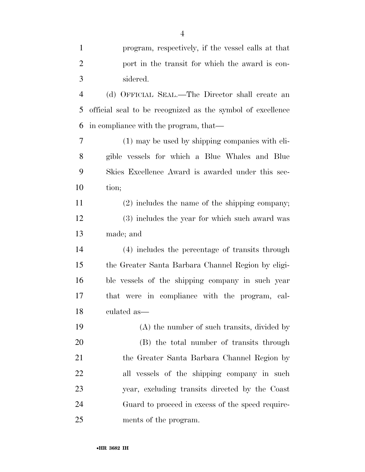| $\mathbf{1}$   | program, respectively, if the vessel calls at that         |
|----------------|------------------------------------------------------------|
| $\overline{2}$ | port in the transit for which the award is con-            |
| 3              | sidered.                                                   |
| $\overline{4}$ | (d) OFFICIAL SEAL.—The Director shall create an            |
| 5              | official seal to be recognized as the symbol of excellence |
| 6              | in compliance with the program, that—                      |
| 7              | (1) may be used by shipping companies with eli-            |
| 8              | gible vessels for which a Blue Whales and Blue             |
| 9              | Skies Excellence Award is awarded under this sec-          |
| 10             | tion;                                                      |
| 11             | $(2)$ includes the name of the shipping company;           |
| 12             | (3) includes the year for which such award was             |
| 13             | made; and                                                  |
| 14             | (4) includes the percentage of transits through            |
| 15             | the Greater Santa Barbara Channel Region by eligi-         |
| 16             | ble vessels of the shipping company in such year           |
| 17             | that were in compliance with the program, cal-             |
| 18             | culated as—                                                |
| 19             | (A) the number of such transits, divided by                |
| 20             | (B) the total number of transits through                   |
| 21             | the Greater Santa Barbara Channel Region by                |
| 22             | all vessels of the shipping company in such                |
| 23             | year, excluding transits directed by the Coast             |
| 24             | Guard to proceed in excess of the speed require-           |
| 25             | ments of the program.                                      |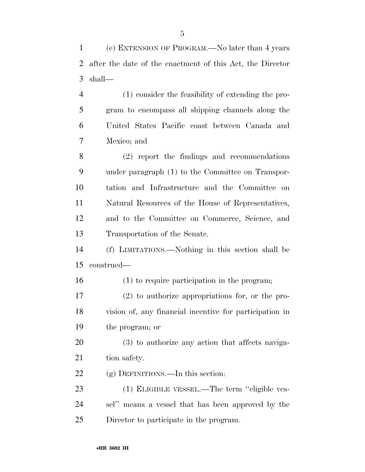(e) EXTENSION OF PROGRAM.—No later than 4 years after the date of the enactment of this Act, the Director shall—

 (1) consider the feasibility of extending the pro- gram to encompass all shipping channels along the United States Pacific coast between Canada and Mexico; and

 (2) report the findings and recommendations under paragraph (1) to the Committee on Transpor- tation and Infrastructure and the Committee on Natural Resources of the House of Representatives, and to the Committee on Commerce, Science, and Transportation of the Senate.

 (f) LIMITATIONS.—Nothing in this section shall be construed—

(1) to require participation in the program;

 (2) to authorize appropriations for, or the pro- vision of, any financial incentive for participation in the program; or

 (3) to authorize any action that affects naviga-21 tion safety.

22 (g) DEFINITIONS.—In this section:

 (1) ELIGIBLE VESSEL.—The term ''eligible ves- sel'' means a vessel that has been approved by the Director to participate in the program.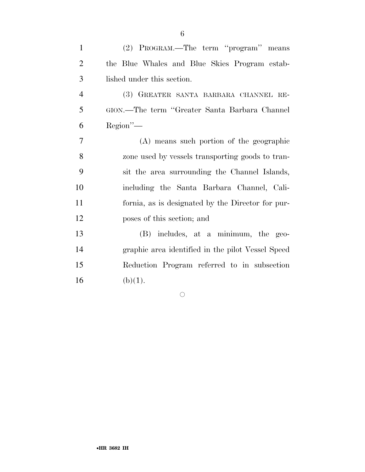| $\mathbf{1}$   | (2) PROGRAM.—The term "program" means             |
|----------------|---------------------------------------------------|
| $\overline{2}$ | the Blue Whales and Blue Skies Program estab-     |
| 3              | lished under this section.                        |
| $\overline{4}$ | (3) GREATER SANTA BARBARA CHANNEL RE-             |
| 5              | GION.—The term "Greater Santa Barbara Channel"    |
| 6              | $Region''$ —                                      |
| 7              | (A) means such portion of the geographic          |
| 8              | zone used by vessels transporting goods to tran-  |
| 9              | sit the area surrounding the Channel Islands,     |
| 10             | including the Santa Barbara Channel, Cali-        |
| 11             | fornia, as is designated by the Director for pur- |
| 12             | poses of this section; and                        |
| 13             | (B) includes, at a minimum, the geo-              |
| 14             | graphic area identified in the pilot Vessel Speed |
| 15             | Reduction Program referred to in subsection       |
| 16             | (b)(1).                                           |

 $\circ$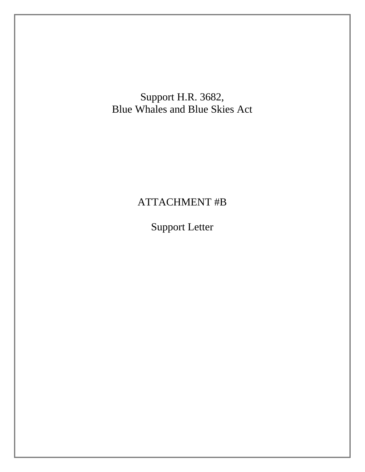Support H.R. 3682, Blue Whales and Blue Skies Act

## ATTACHMENT #B

Support Letter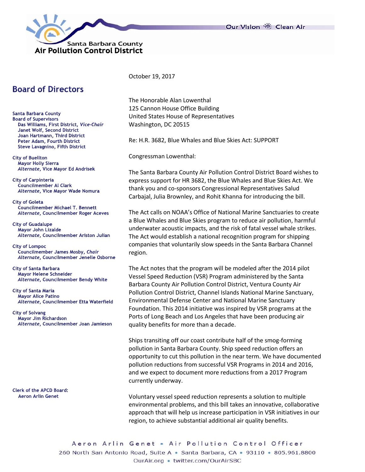



## **Board of Directors**

Santa Barbara County **Board of Supervisors** Das Williams, First District, Vice-Chair Janet Wolf, Second District Joan Hartmann, Third District Peter Adam, Fourth District **Steve Lavagnino, Fifth District** 

**City of Buellton Mayor Holly Sierra** Alternate, Vice Mayor Ed Andrisek

**City of Carpinteria Councilmember Al Clark** Alternate, Vice Mayor Wade Nomura

**City of Goleta Councilmember Michael T. Bennett** Alternate, Councilmember Roger Aceves

**City of Guadalupe Mayor John Lizalde** Alternate, Councilmember Ariston Julian

**City of Lompoc** Councilmember James Mosby, Chair Alternate, Councilmember Jenelle Osborne

**City of Santa Barbara Mayor Helene Schneider** Alternate, Councilmember Bendy White

**City of Santa Maria Mayor Alice Patino** Alternate, Councilmember Etta Waterfield

**City of Solvang** Mayor Jim Richardson Alternate, Councilmember Joan Jamieson

**Clerk of the APCD Board: Aeron Arlin Genet** 

October 19, 2017

The Honorable Alan Lowenthal 125 Cannon House Office Building United States House of Representatives Washington, DC 20515

Re: H.R. 3682, Blue Whales and Blue Skies Act: SUPPORT

Congressman Lowenthal:

The Santa Barbara County Air Pollution Control District Board wishes to express support for HR 3682, the Blue Whales and Blue Skies Act. We thank you and co-sponsors Congressional Representatives Salud Carbajal, Julia Brownley, and Rohit Khanna for introducing the bill.

The Act calls on NOAA's Office of National Marine Sanctuaries to create a Blue Whales and Blue Skies program to reduce air pollution, harmful underwater acoustic impacts, and the risk of fatal vessel whale strikes. The Act would establish a national recognition program for shipping companies that voluntarily slow speeds in the Santa Barbara Channel region.

The Act notes that the program will be modeled after the 2014 pilot Vessel Speed Reduction (VSR) Program administered by the Santa Barbara County Air Pollution Control District, Ventura County Air Pollution Control District, Channel Islands National Marine Sanctuary, Environmental Defense Center and National Marine Sanctuary Foundation. This 2014 initiative was inspired by VSR programs at the Ports of Long Beach and Los Angeles that have been producing air quality benefits for more than a decade.

Ships transiting off our coast contribute half of the smog-forming pollution in Santa Barbara County. Ship speed reduction offers an opportunity to cut this pollution in the near term. We have documented pollution reductions from successful VSR Programs in 2014 and 2016, and we expect to document more reductions from a 2017 Program currently underway.

Voluntary vessel speed reduction represents a solution to multiple environmental problems, and this bill takes an innovative, collaborative approach that will help us increase participation in VSR initiatives in our region, to achieve substantial additional air quality benefits.

Aeron Arlin Genet • Air Pollution Control Officer 260 North San Antonio Road, Suite A · Santa Barbara, CA · 93110 · 805.961.8800 OurAir.org • twitter.com/OurAirSBC